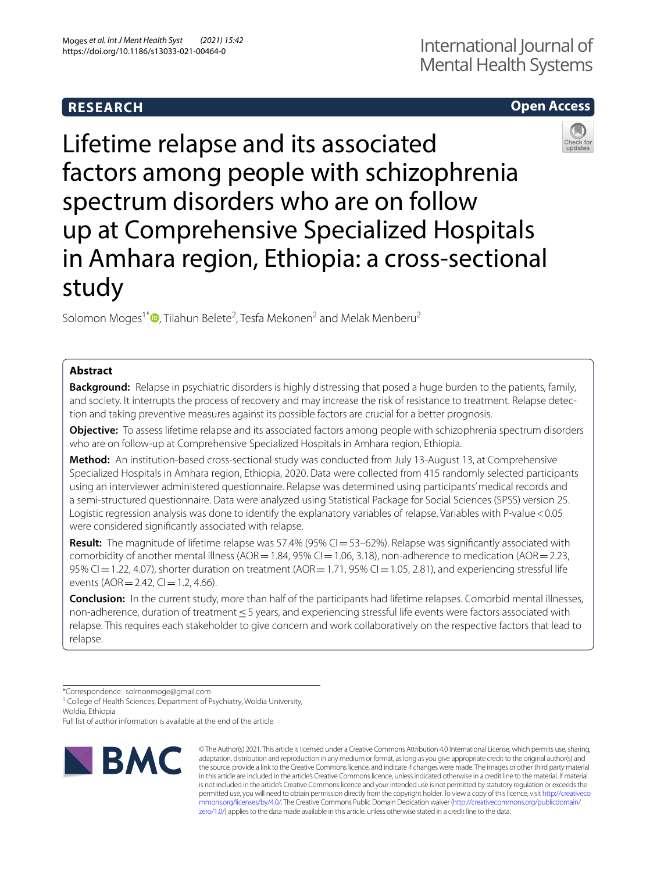## **RESEARCH**

# International Journal of Mental Health Systems

## **Open Access**



Lifetime relapse and its associated factors among people with schizophrenia spectrum disorders who are on follow up at Comprehensive Specialized Hospitals in Amhara region, Ethiopia: a cross-sectional study

Solomon Moges<sup>1[\\*](http://orcid.org/0000-0001-9795-772X)</sup><sup>D</sup>, Tilahun Belete<sup>2</sup>, Tesfa Mekonen<sup>2</sup> and Melak Menberu<sup>2</sup>

## **Abstract**

**Background:** Relapse in psychiatric disorders is highly distressing that posed a huge burden to the patients, family, and society. It interrupts the process of recovery and may increase the risk of resistance to treatment. Relapse detection and taking preventive measures against its possible factors are crucial for a better prognosis.

**Objective:** To assess lifetime relapse and its associated factors among people with schizophrenia spectrum disorders who are on follow-up at Comprehensive Specialized Hospitals in Amhara region, Ethiopia.

**Method:** An institution-based cross-sectional study was conducted from July 13-August 13, at Comprehensive Specialized Hospitals in Amhara region, Ethiopia, 2020. Data were collected from 415 randomly selected participants using an interviewer administered questionnaire. Relapse was determined using participants' medical records and a semi-structured questionnaire. Data were analyzed using Statistical Package for Social Sciences (SPSS) version 25. Logistic regression analysis was done to identify the explanatory variables of relapse. Variables with P-value < 0.05 were considered signifcantly associated with relapse.

**Result:** The magnitude of lifetime relapse was 57.4% (95% CI = 53–62%). Relapse was significantly associated with comorbidity of another mental illness (AOR = 1.84, 95% CI = 1.06, 3.18), non-adherence to medication (AOR = 2.23, 95% CI = 1.22, 4.07), shorter duration on treatment (AOR = 1.71, 95% CI = 1.05, 2.81), and experiencing stressful life events ( $AOR = 2.42$ ,  $Cl = 1.2$ , 4.66).

**Conclusion:** In the current study, more than half of the participants had lifetime relapses. Comorbid mental illnesses, non-adherence, duration of treatment ≤ 5 years, and experiencing stressful life events were factors associated with relapse. This requires each stakeholder to give concern and work collaboratively on the respective factors that lead to relapse.

\*Correspondence: solmonmoge@gmail.com

<sup>1</sup> College of Health Sciences, Department of Psychiatry, Woldia University, Woldia, Ethiopia

Full list of author information is available at the end of the article



© The Author(s) 2021. This article is licensed under a Creative Commons Attribution 4.0 International License, which permits use, sharing, adaptation, distribution and reproduction in any medium or format, as long as you give appropriate credit to the original author(s) and the source, provide a link to the Creative Commons licence, and indicate if changes were made. The images or other third party material in this article are included in the article's Creative Commons licence, unless indicated otherwise in a credit line to the material. If material is not included in the article's Creative Commons licence and your intended use is not permitted by statutory regulation or exceeds the permitted use, you will need to obtain permission directly from the copyright holder. To view a copy of this licence, visit [http://creativeco](http://creativecommons.org/licenses/by/4.0/) [mmons.org/licenses/by/4.0/.](http://creativecommons.org/licenses/by/4.0/) The Creative Commons Public Domain Dedication waiver ([http://creativecommons.org/publicdomain/](http://creativecommons.org/publicdomain/zero/1.0/) [zero/1.0/\)](http://creativecommons.org/publicdomain/zero/1.0/) applies to the data made available in this article, unless otherwise stated in a credit line to the data.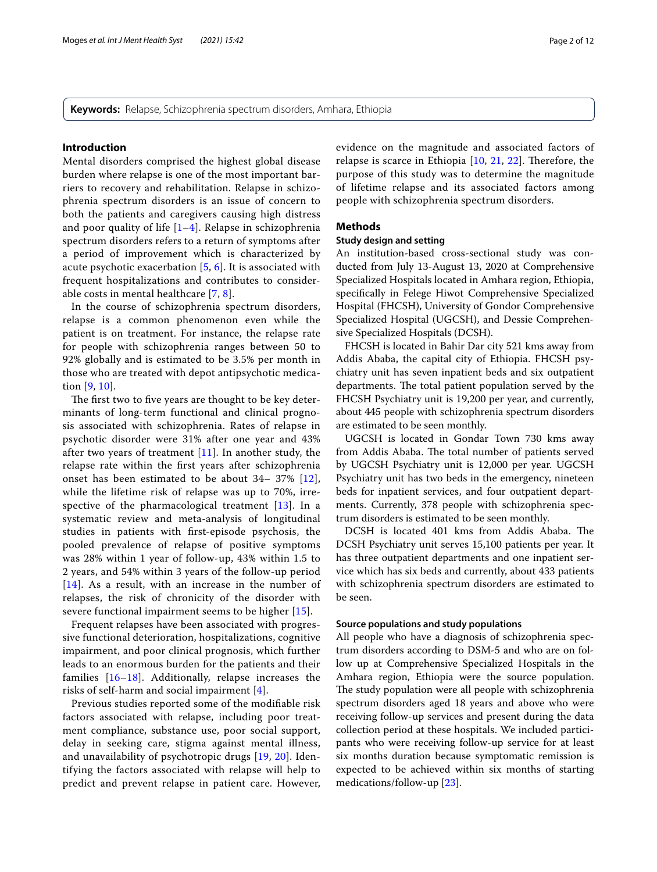**Keywords:** Relapse, Schizophrenia spectrum disorders, Amhara, Ethiopia

## **Introduction**

Mental disorders comprised the highest global disease burden where relapse is one of the most important barriers to recovery and rehabilitation. Relapse in schizophrenia spectrum disorders is an issue of concern to both the patients and caregivers causing high distress and poor quality of life [[1–](#page-10-0)[4\]](#page-10-1). Relapse in schizophrenia spectrum disorders refers to a return of symptoms after a period of improvement which is characterized by acute psychotic exacerbation [\[5](#page-10-2), [6](#page-10-3)]. It is associated with frequent hospitalizations and contributes to considerable costs in mental healthcare [\[7](#page-10-4), [8](#page-10-5)].

In the course of schizophrenia spectrum disorders, relapse is a common phenomenon even while the patient is on treatment. For instance, the relapse rate for people with schizophrenia ranges between 50 to 92% globally and is estimated to be 3.5% per month in those who are treated with depot antipsychotic medication [\[9,](#page-10-6) [10](#page-10-7)].

The first two to five years are thought to be key determinants of long-term functional and clinical prognosis associated with schizophrenia. Rates of relapse in psychotic disorder were 31% after one year and 43% after two years of treatment  $[11]$  $[11]$ . In another study, the relapse rate within the frst years after schizophrenia onset has been estimated to be about 34– 37% [[12\]](#page-10-9), while the lifetime risk of relapse was up to 70%, irrespective of the pharmacological treatment  $[13]$  $[13]$ . In a systematic review and meta-analysis of longitudinal studies in patients with frst-episode psychosis, the pooled prevalence of relapse of positive symptoms was 28% within 1 year of follow-up, 43% within 1.5 to 2 years, and 54% within 3 years of the follow-up period [[14](#page-10-11)]. As a result, with an increase in the number of relapses, the risk of chronicity of the disorder with severe functional impairment seems to be higher [[15](#page-10-12)].

Frequent relapses have been associated with progressive functional deterioration, hospitalizations, cognitive impairment, and poor clinical prognosis, which further leads to an enormous burden for the patients and their families [[16](#page-10-13)–[18](#page-10-14)]. Additionally, relapse increases the risks of self-harm and social impairment [[4\]](#page-10-1).

Previous studies reported some of the modifable risk factors associated with relapse, including poor treatment compliance, substance use, poor social support, delay in seeking care, stigma against mental illness, and unavailability of psychotropic drugs [[19,](#page-10-15) [20](#page-10-16)]. Identifying the factors associated with relapse will help to predict and prevent relapse in patient care. However, evidence on the magnitude and associated factors of relapse is scarce in Ethiopia  $[10, 21, 22]$  $[10, 21, 22]$  $[10, 21, 22]$  $[10, 21, 22]$  $[10, 21, 22]$  $[10, 21, 22]$ . Therefore, the purpose of this study was to determine the magnitude of lifetime relapse and its associated factors among people with schizophrenia spectrum disorders.

## **Methods**

## **Study design and setting**

An institution-based cross-sectional study was conducted from July 13-August 13, 2020 at Comprehensive Specialized Hospitals located in Amhara region, Ethiopia, specifcally in Felege Hiwot Comprehensive Specialized Hospital (FHCSH), University of Gondor Comprehensive Specialized Hospital (UGCSH), and Dessie Comprehensive Specialized Hospitals (DCSH).

FHCSH is located in Bahir Dar city 521 kms away from Addis Ababa, the capital city of Ethiopia. FHCSH psychiatry unit has seven inpatient beds and six outpatient departments. The total patient population served by the FHCSH Psychiatry unit is 19,200 per year, and currently, about 445 people with schizophrenia spectrum disorders are estimated to be seen monthly.

UGCSH is located in Gondar Town 730 kms away from Addis Ababa. The total number of patients served by UGCSH Psychiatry unit is 12,000 per year. UGCSH Psychiatry unit has two beds in the emergency, nineteen beds for inpatient services, and four outpatient departments. Currently, 378 people with schizophrenia spectrum disorders is estimated to be seen monthly.

DCSH is located 401 kms from Addis Ababa. The DCSH Psychiatry unit serves 15,100 patients per year. It has three outpatient departments and one inpatient service which has six beds and currently, about 433 patients with schizophrenia spectrum disorders are estimated to be seen.

### **Source populations and study populations**

All people who have a diagnosis of schizophrenia spectrum disorders according to DSM-5 and who are on follow up at Comprehensive Specialized Hospitals in the Amhara region, Ethiopia were the source population. The study population were all people with schizophrenia spectrum disorders aged 18 years and above who were receiving follow-up services and present during the data collection period at these hospitals. We included participants who were receiving follow-up service for at least six months duration because symptomatic remission is expected to be achieved within six months of starting medications/follow-up [\[23](#page-10-19)].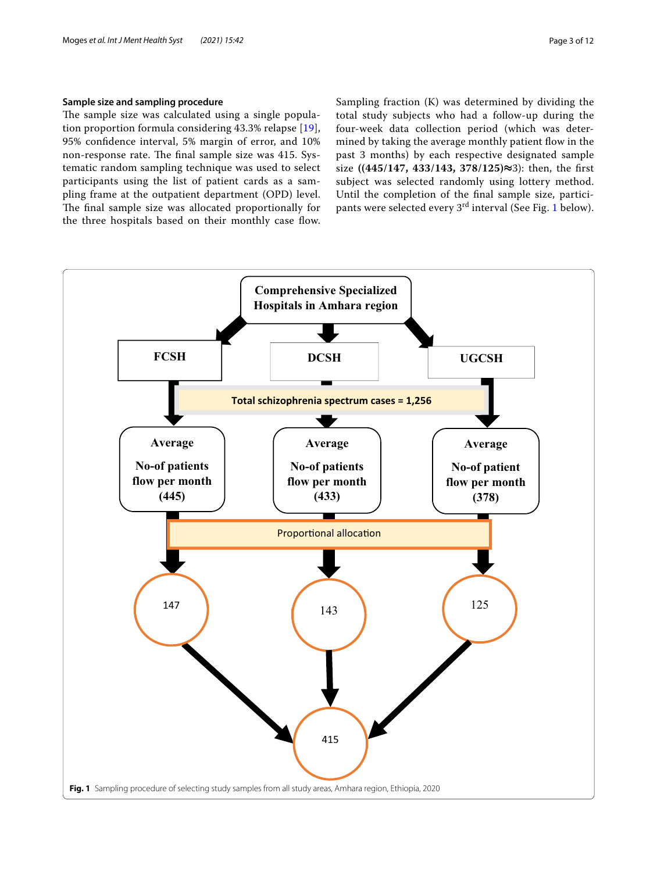## **Sample size and sampling procedure**

The sample size was calculated using a single population proportion formula considering 43.3% relapse [[19\]](#page-10-15), 95% confdence interval, 5% margin of error, and 10% non-response rate. The final sample size was 415. Systematic random sampling technique was used to select participants using the list of patient cards as a sampling frame at the outpatient department (OPD) level. The final sample size was allocated proportionally for the three hospitals based on their monthly case flow. Sampling fraction (K) was determined by dividing the total study subjects who had a follow-up during the four-week data collection period (which was determined by taking the average monthly patient flow in the past 3 months) by each respective designated sample size **((445/147, 433/143, 378/125)≈**3): then, the frst subject was selected randomly using lottery method. Until the completion of the fnal sample size, partici-pants were selected every 3<sup>rd</sup> interval (See Fig. [1](#page-2-0) below).

<span id="page-2-0"></span>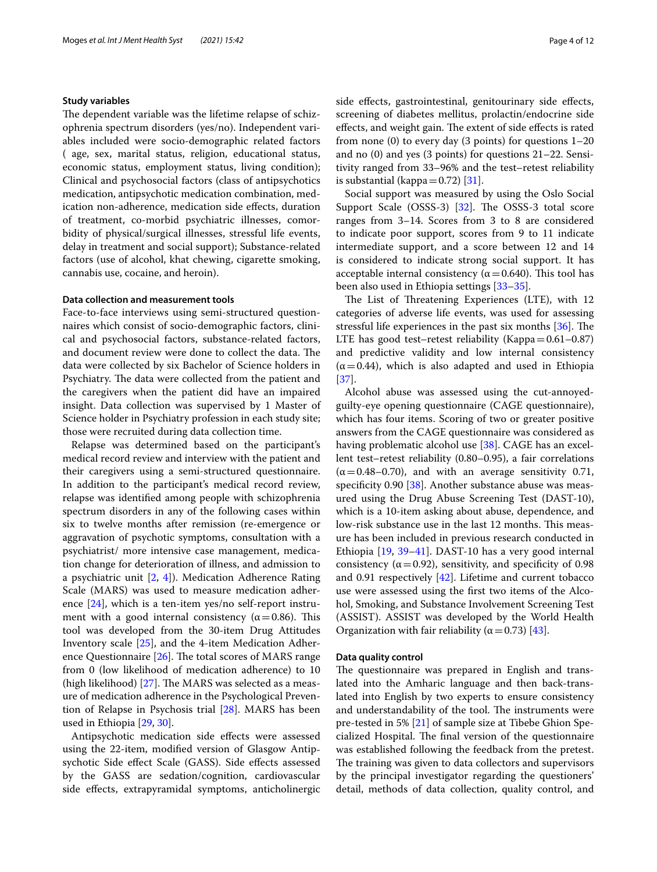### **Study variables**

The dependent variable was the lifetime relapse of schizophrenia spectrum disorders (yes/no). Independent variables included were socio-demographic related factors ( age, sex, marital status, religion, educational status, economic status, employment status, living condition); Clinical and psychosocial factors (class of antipsychotics medication, antipsychotic medication combination, medication non-adherence, medication side efects, duration of treatment, co-morbid psychiatric illnesses, comorbidity of physical/surgical illnesses, stressful life events, delay in treatment and social support); Substance-related factors (use of alcohol, khat chewing, cigarette smoking, cannabis use, cocaine, and heroin).

## **Data collection and measurement tools**

Face-to-face interviews using semi-structured questionnaires which consist of socio-demographic factors, clinical and psychosocial factors, substance-related factors, and document review were done to collect the data. The data were collected by six Bachelor of Science holders in Psychiatry. The data were collected from the patient and the caregivers when the patient did have an impaired insight. Data collection was supervised by 1 Master of Science holder in Psychiatry profession in each study site; those were recruited during data collection time.

Relapse was determined based on the participant's medical record review and interview with the patient and their caregivers using a semi-structured questionnaire. In addition to the participant's medical record review, relapse was identifed among people with schizophrenia spectrum disorders in any of the following cases within six to twelve months after remission (re-emergence or aggravation of psychotic symptoms, consultation with a psychiatrist/ more intensive case management, medication change for deterioration of illness, and admission to a psychiatric unit  $[2, 4]$  $[2, 4]$  $[2, 4]$  $[2, 4]$ ). Medication Adherence Rating Scale (MARS) was used to measure medication adherence [\[24\]](#page-10-21), which is a ten-item yes/no self-report instrument with a good internal consistency ( $\alpha$  = 0.86). This tool was developed from the 30-item Drug Attitudes Inventory scale [[25](#page-10-22)], and the 4-item Medication Adherence Questionnaire  $[26]$  $[26]$ . The total scores of MARS range from 0 (low likelihood of medication adherence) to 10 (high likelihood)  $[27]$  $[27]$ . The MARS was selected as a measure of medication adherence in the Psychological Prevention of Relapse in Psychosis trial [[28](#page-10-25)]. MARS has been used in Ethiopia [\[29,](#page-10-26) [30](#page-10-27)].

Antipsychotic medication side efects were assessed using the 22-item, modifed version of Glasgow Antipsychotic Side efect Scale (GASS). Side efects assessed by the GASS are sedation/cognition, cardiovascular side efects, extrapyramidal symptoms, anticholinergic side effects, gastrointestinal, genitourinary side effects, screening of diabetes mellitus, prolactin/endocrine side effects, and weight gain. The extent of side effects is rated from none  $(0)$  to every day  $(3 \text{ points})$  for questions  $1-20$ and no (0) and yes (3 points) for questions 21–22. Sensitivity ranged from 33–96% and the test–retest reliability is substantial (kappa $=0.72$ ) [\[31](#page-10-28)].

Social support was measured by using the Oslo Social Support Scale  $(OSSS-3)$   $[32]$  $[32]$  $[32]$ . The OSSS-3 total score ranges from 3–14. Scores from 3 to 8 are considered to indicate poor support, scores from 9 to 11 indicate intermediate support, and a score between 12 and 14 is considered to indicate strong social support. It has acceptable internal consistency ( $\alpha$  = 0.640). This tool has been also used in Ethiopia settings [\[33](#page-11-1)[–35](#page-11-2)].

The List of Threatening Experiences (LTE), with 12 categories of adverse life events, was used for assessing stressful life experiences in the past six months  $[36]$ . The LTE has good test–retest reliability (Kappa=0.61–0.87) and predictive validity and low internal consistency  $(\alpha=0.44)$ , which is also adapted and used in Ethiopia [[37\]](#page-11-4).

Alcohol abuse was assessed using the cut-annoyedguilty-eye opening questionnaire (CAGE questionnaire), which has four items. Scoring of two or greater positive answers from the CAGE questionnaire was considered as having problematic alcohol use [\[38](#page-11-5)]. CAGE has an excellent test–retest reliability (0.80–0.95), a fair correlations  $(\alpha=0.48-0.70)$ , and with an average sensitivity 0.71, specificity 0.90 [[38](#page-11-5)]. Another substance abuse was measured using the Drug Abuse Screening Test (DAST-10), which is a 10-item asking about abuse, dependence, and low-risk substance use in the last 12 months. This measure has been included in previous research conducted in Ethiopia [\[19](#page-10-15), [39–](#page-11-6)[41](#page-11-7)]. DAST-10 has a very good internal consistency ( $\alpha$  = 0.92), sensitivity, and specificity of 0.98 and 0.91 respectively [\[42](#page-11-8)]. Lifetime and current tobacco use were assessed using the frst two items of the Alcohol, Smoking, and Substance Involvement Screening Test (ASSIST). ASSIST was developed by the World Health Organization with fair reliability ( $\alpha$  = 0.73) [\[43\]](#page-11-9).

### **Data quality control**

The questionnaire was prepared in English and translated into the Amharic language and then back-translated into English by two experts to ensure consistency and understandability of the tool. The instruments were pre-tested in 5% [[21\]](#page-10-17) of sample size at Tibebe Ghion Specialized Hospital. The final version of the questionnaire was established following the feedback from the pretest. The training was given to data collectors and supervisors by the principal investigator regarding the questioners' detail, methods of data collection, quality control, and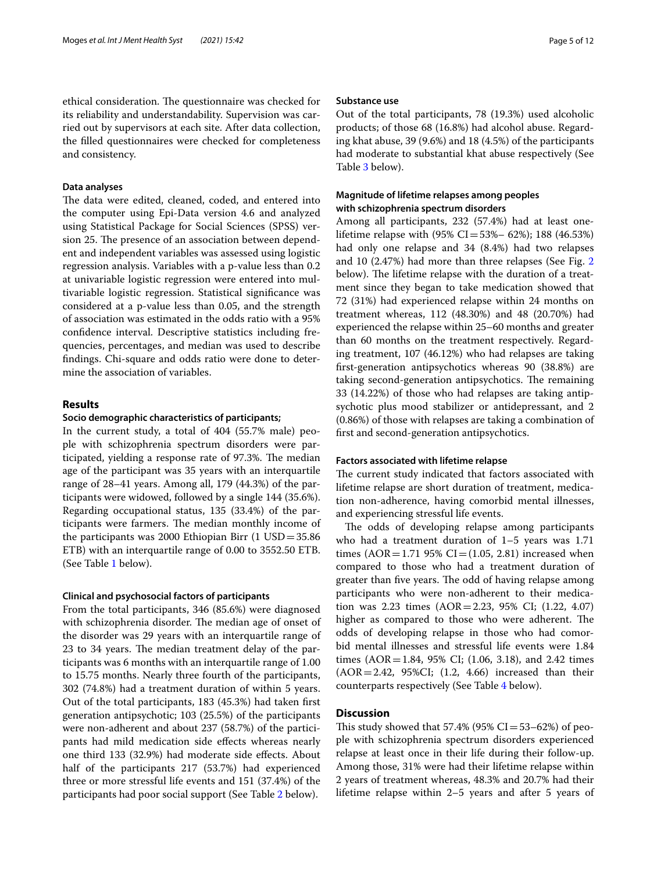ethical consideration. The questionnaire was checked for its reliability and understandability. Supervision was carried out by supervisors at each site. After data collection, the flled questionnaires were checked for completeness and consistency.

#### **Data analyses**

The data were edited, cleaned, coded, and entered into the computer using Epi-Data version 4.6 and analyzed using Statistical Package for Social Sciences (SPSS) version 25. The presence of an association between dependent and independent variables was assessed using logistic regression analysis. Variables with a p-value less than 0.2 at univariable logistic regression were entered into multivariable logistic regression. Statistical signifcance was considered at a p-value less than 0.05, and the strength of association was estimated in the odds ratio with a 95% confdence interval. Descriptive statistics including frequencies, percentages, and median was used to describe fndings. Chi-square and odds ratio were done to determine the association of variables.

## **Results**

## **Socio demographic characteristics of participants;**

In the current study, a total of 404 (55.7% male) people with schizophrenia spectrum disorders were participated, yielding a response rate of 97.3%. The median age of the participant was 35 years with an interquartile range of 28–41 years. Among all, 179 (44.3%) of the participants were widowed, followed by a single 144 (35.6%). Regarding occupational status, 135 (33.4%) of the participants were farmers. The median monthly income of the participants was 2000 Ethiopian Birr  $(1 \text{ USD} = 35.86)$ ETB) with an interquartile range of 0.00 to 3552.50 ETB. (See Table [1](#page-5-0) below).

### **Clinical and psychosocial factors of participants**

From the total participants, 346 (85.6%) were diagnosed with schizophrenia disorder. The median age of onset of the disorder was 29 years with an interquartile range of 23 to 34 years. The median treatment delay of the participants was 6 months with an interquartile range of 1.00 to 15.75 months. Nearly three fourth of the participants, 302 (74.8%) had a treatment duration of within 5 years. Out of the total participants, 183 (45.3%) had taken frst generation antipsychotic; 103 (25.5%) of the participants were non-adherent and about 237 (58.7%) of the participants had mild medication side efects whereas nearly one third 133 (32.9%) had moderate side efects. About half of the participants 217 (53.7%) had experienced three or more stressful life events and 151 (37.4%) of the participants had poor social support (See Table [2](#page-6-0) below).

#### **Substance use**

Out of the total participants, 78 (19.3%) used alcoholic products; of those 68 (16.8%) had alcohol abuse. Regarding khat abuse, 39 (9.6%) and 18 (4.5%) of the participants had moderate to substantial khat abuse respectively (See Table [3](#page-7-0) below).

## **Magnitude of lifetime relapses among peoples with schizophrenia spectrum disorders**

Among all participants, 232 (57.4%) had at least onelifetime relapse with  $(95\% \text{ CI} = 53\% - 62\%)$ ; 188 (46.53%) had only one relapse and 34 (8.4%) had two relapses and 10 (2.47%) had more than three relapses (See Fig. [2](#page-7-1) below). The lifetime relapse with the duration of a treatment since they began to take medication showed that 72 (31%) had experienced relapse within 24 months on treatment whereas, 112 (48.30%) and 48 (20.70%) had experienced the relapse within 25–60 months and greater than 60 months on the treatment respectively. Regarding treatment, 107 (46.12%) who had relapses are taking frst-generation antipsychotics whereas 90 (38.8%) are taking second-generation antipsychotics. The remaining 33 (14.22%) of those who had relapses are taking antipsychotic plus mood stabilizer or antidepressant, and 2 (0.86%) of those with relapses are taking a combination of frst and second-generation antipsychotics.

## **Factors associated with lifetime relapse**

The current study indicated that factors associated with lifetime relapse are short duration of treatment, medication non-adherence, having comorbid mental illnesses, and experiencing stressful life events.

The odds of developing relapse among participants who had a treatment duration of 1-5 years was 1.71 times  $(AOR = 1.71 95\% CI = (1.05, 2.81)$  increased when compared to those who had a treatment duration of greater than five years. The odd of having relapse among participants who were non-adherent to their medication was 2.23 times (AOR=2.23, 95% CI; (1.22, 4.07) higher as compared to those who were adherent. The odds of developing relapse in those who had comorbid mental illnesses and stressful life events were 1.84 times  $(AOR = 1.84, 95\% \text{ CI}; (1.06, 3.18), \text{ and } 2.42 \text{ times}$ (AOR=2.42, 95%CI; (1.2, 4.66) increased than their counterparts respectively (See Table [4](#page-8-0) below).

## **Discussion**

This study showed that 57.4% (95%  $CI = 53-62%$ ) of people with schizophrenia spectrum disorders experienced relapse at least once in their life during their follow-up. Among those, 31% were had their lifetime relapse within 2 years of treatment whereas, 48.3% and 20.7% had their lifetime relapse within 2–5 years and after 5 years of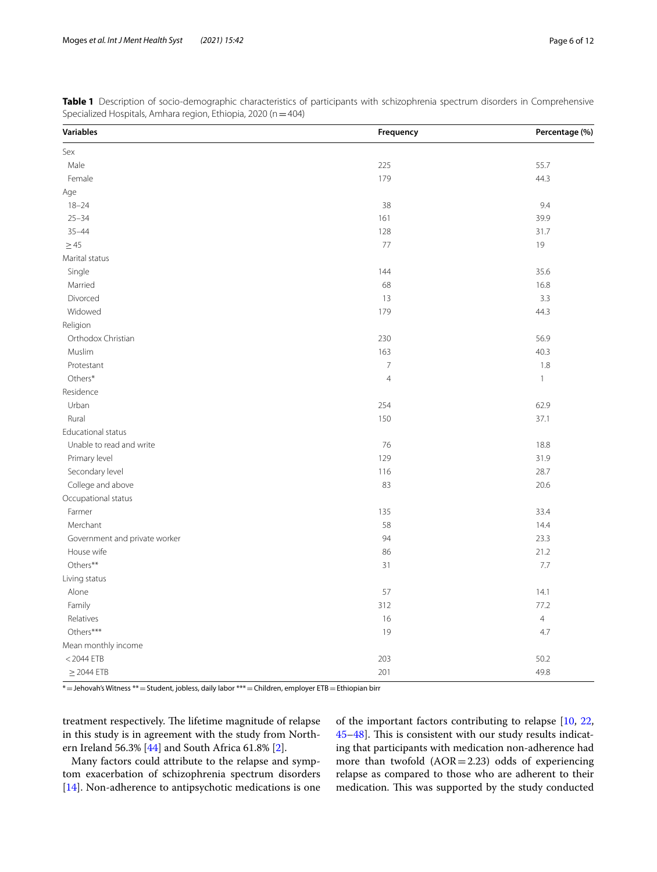| <b>Variables</b>              | Frequency      | Percentage (%) |
|-------------------------------|----------------|----------------|
| Sex                           |                |                |
| Male                          | 225            | 55.7           |
| Female                        | 179            | 44.3           |
| Age                           |                |                |
| $18 - 24$                     | 38             | 9.4            |
| $25 - 34$                     | 161            | 39.9           |
| $35 - 44$                     | 128            | 31.7           |
| $\geq 45$                     | 77             | 19             |
| Marital status                |                |                |
| Single                        | 144            | 35.6           |
| Married                       | 68             | 16.8           |
| Divorced                      | 13             | 3.3            |
| Widowed                       | 179            | 44.3           |
| Religion                      |                |                |
| Orthodox Christian            | 230            | 56.9           |
| Muslim                        | 163            | 40.3           |
| Protestant                    | $\overline{7}$ | 1.8            |
| Others*                       | $\overline{4}$ | $\mathbf{1}$   |
| Residence                     |                |                |
| Urban                         | 254            | 62.9           |
| Rural                         | 150            | 37.1           |
| Educational status            |                |                |
| Unable to read and write      | 76             | 18.8           |
| Primary level                 | 129            | 31.9           |
| Secondary level               | 116            | 28.7           |
| College and above             | 83             | 20.6           |
| Occupational status           |                |                |
| Farmer                        | 135            | 33.4           |
| Merchant                      | 58             | 14.4           |
| Government and private worker | 94             | 23.3           |
| House wife                    | 86             | 21.2           |
| Others**                      | 31             | 7.7            |
| Living status                 |                |                |
| Alone                         | 57             | 14.1           |
| Family                        | 312            | 77.2           |
| Relatives                     | 16             | $\overline{4}$ |
| Others***                     | 19             | 4.7            |
| Mean monthly income           |                |                |
| $<$ 2044 ETB                  | 203            | 50.2           |
| $\geq$ 2044 ETB               | 201            | 49.8           |

<span id="page-5-0"></span>**Table 1** Description of socio-demographic characteristics of participants with schizophrenia spectrum disorders in Comprehensive Specialized Hospitals, Amhara region, Ethiopia, 2020 (n = 404)

\*=Jehovah's Witness \*\*=Student, jobless, daily labor \*\*\*=Children, employer ETB=Ethiopian birr

treatment respectively. The lifetime magnitude of relapse in this study is in agreement with the study from Northern Ireland 56.3% [[44](#page-11-10)] and South Africa 61.8% [[2\]](#page-10-20).

Many factors could attribute to the relapse and symptom exacerbation of schizophrenia spectrum disorders [[14\]](#page-10-11). Non-adherence to antipsychotic medications is one of the important factors contributing to relapse [[10,](#page-10-7) [22](#page-10-18), [45](#page-11-11)[–48](#page-11-12)]. This is consistent with our study results indicating that participants with medication non-adherence had more than twofold  $(AOR = 2.23)$  odds of experiencing relapse as compared to those who are adherent to their medication. This was supported by the study conducted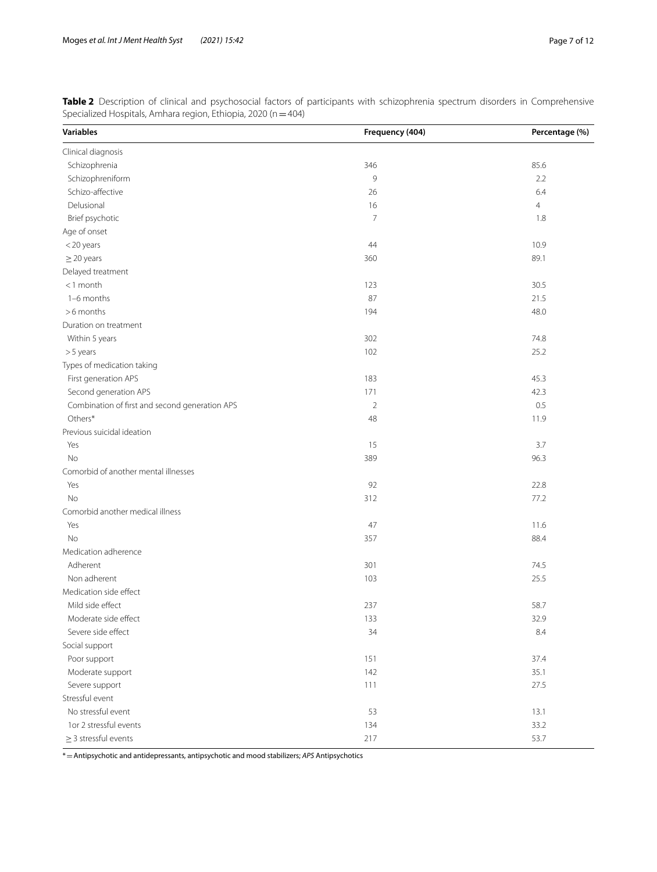| <b>Variables</b>                               | Frequency (404) | Percentage (%) |
|------------------------------------------------|-----------------|----------------|
| Clinical diagnosis                             |                 |                |
| Schizophrenia                                  | 346             | 85.6           |
| Schizophreniform                               | 9               | 2.2            |
| Schizo-affective                               | 26              | 6.4            |
| Delusional                                     | 16              | $\overline{4}$ |
| Brief psychotic                                | 7               | 1.8            |
| Age of onset                                   |                 |                |
| <20 years                                      | 44              | 10.9           |
| $\geq$ 20 years                                | 360             | 89.1           |
| Delayed treatment                              |                 |                |
| $<$ 1 month                                    | 123             | 30.5           |
| 1-6 months                                     | 87              | 21.5           |
| >6 months                                      | 194             | 48.0           |
| Duration on treatment                          |                 |                |
| Within 5 years                                 | 302             | 74.8           |
| >5 years                                       | 102             | 25.2           |
| Types of medication taking                     |                 |                |
| First generation APS                           | 183             | 45.3           |
| Second generation APS                          | 171             | 42.3           |
| Combination of first and second generation APS | $\overline{2}$  | 0.5            |
| Others*                                        | 48              | 11.9           |
| Previous suicidal ideation                     |                 |                |
| Yes                                            | 15              | 3.7            |
| <b>No</b>                                      | 389             | 96.3           |
| Comorbid of another mental illnesses           |                 |                |
| Yes                                            | 92              | 22.8           |
| No                                             | 312             | 77.2           |
| Comorbid another medical illness               |                 |                |
| Yes                                            | 47              | 11.6           |
| No                                             | 357             | 88.4           |
| Medication adherence                           |                 |                |
| Adherent                                       | 301             | 74.5           |
| Non adherent                                   | 103             | 25.5           |
| Medication side effect                         |                 |                |
| Mild side effect                               | 237             | 58.7           |
| Moderate side effect                           | 133             | 32.9           |
| Severe side effect                             | 34              | 8.4            |
| Social support                                 |                 |                |
| Poor support                                   | 151             | 37.4           |
| Moderate support                               | 142             | 35.1           |
| Severe support                                 | 111             | 27.5           |
| Stressful event                                |                 |                |
| No stressful event                             | 53              | 13.1           |
| 1or 2 stressful events                         | 134             | 33.2           |
| $\geq$ 3 stressful events                      | 217             | 53.7           |

<span id="page-6-0"></span>**Table 2** Description of clinical and psychosocial factors of participants with schizophrenia spectrum disorders in Comprehensive Specialized Hospitals, Amhara region, Ethiopia, 2020 (n = 404)

\*=Antipsychotic and antidepressants, antipsychotic and mood stabilizers; *APS* Antipsychotics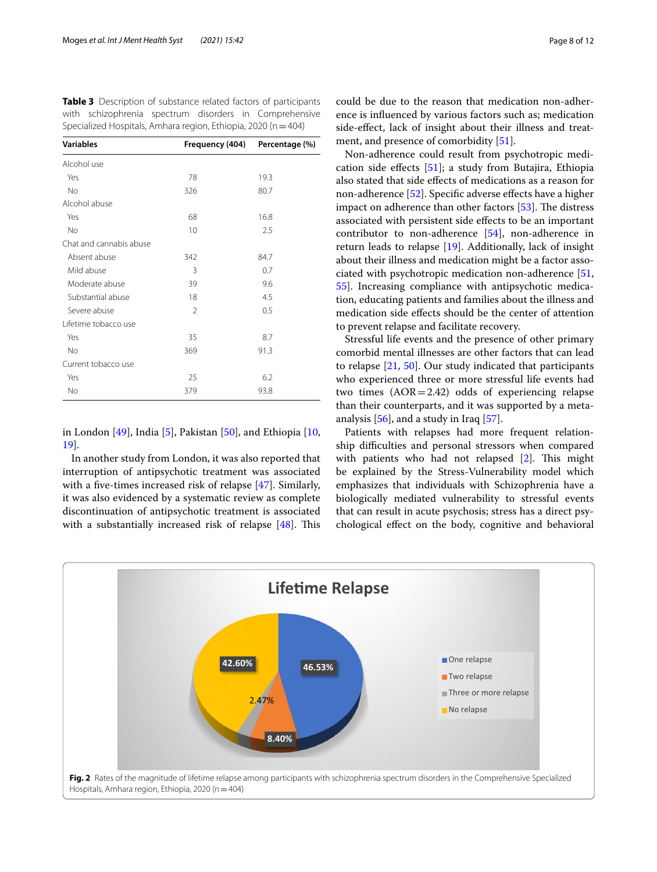| Specialized Flospitals, Arrifiald Tegion, Ethiopia, 2020 (IT—404) |                 |                |  |  |
|-------------------------------------------------------------------|-----------------|----------------|--|--|
| <b>Variables</b>                                                  | Frequency (404) | Percentage (%) |  |  |
| Alcohol use                                                       |                 |                |  |  |
| Yes                                                               | 78              | 19.3           |  |  |
| N <sub>o</sub>                                                    | 326             | 80.7           |  |  |
| Alcohol abuse                                                     |                 |                |  |  |
| Yes                                                               | 68              | 16.8           |  |  |
| No                                                                | 10              | 2.5            |  |  |
| Chat and cannabis abuse                                           |                 |                |  |  |
| Absent abuse                                                      | 342             | 84.7           |  |  |
| Mild abuse                                                        | 3               | 0.7            |  |  |
| Moderate abuse                                                    | 39              | 9.6            |  |  |
| Substantial abuse                                                 | 18              | 4.5            |  |  |
| Severe abuse                                                      | $\mathcal{P}$   | 0.5            |  |  |
| Lifetime tobacco use                                              |                 |                |  |  |
| Yes                                                               | 35              | 8.7            |  |  |
| No                                                                | 369             | 91.3           |  |  |
| Current tobacco use                                               |                 |                |  |  |
| Yes                                                               | 25              | 6.2            |  |  |
| No                                                                | 379             | 93.8           |  |  |
|                                                                   |                 |                |  |  |

<span id="page-7-0"></span>**Table 3** Description of substance related factors of participants with schizophrenia spectrum disorders in Comprehensive Specialized Hospitals, Amhara region, Ethiopia, 2020 (n=404)

in London [\[49\]](#page-11-13), India [[5\]](#page-10-2), Pakistan [\[50\]](#page-11-14), and Ethiopia [\[10](#page-10-7), [19\]](#page-10-15).

In another study from London, it was also reported that interruption of antipsychotic treatment was associated with a five-times increased risk of relapse [\[47](#page-11-15)]. Similarly, it was also evidenced by a systematic review as complete discontinuation of antipsychotic treatment is associated with a substantially increased risk of relapse  $[48]$  $[48]$ . This

could be due to the reason that medication non-adherence is infuenced by various factors such as; medication side-efect, lack of insight about their illness and treatment, and presence of comorbidity [[51](#page-11-16)].

Non-adherence could result from psychotropic medication side efects [[51\]](#page-11-16); a study from Butajira, Ethiopia also stated that side efects of medications as a reason for non-adherence [[52\]](#page-11-17). Specifc adverse efects have a higher impact on adherence than other factors  $[53]$ . The distress associated with persistent side efects to be an important contributor to non-adherence [\[54](#page-11-19)], non-adherence in return leads to relapse [\[19](#page-10-15)]. Additionally, lack of insight about their illness and medication might be a factor associated with psychotropic medication non-adherence [[51](#page-11-16), [55\]](#page-11-20). Increasing compliance with antipsychotic medication, educating patients and families about the illness and medication side efects should be the center of attention to prevent relapse and facilitate recovery.

Stressful life events and the presence of other primary comorbid mental illnesses are other factors that can lead to relapse [[21,](#page-10-17) [50\]](#page-11-14). Our study indicated that participants who experienced three or more stressful life events had two times  $(AOR = 2.42)$  odds of experiencing relapse than their counterparts, and it was supported by a metaanalysis [[56\]](#page-11-21), and a study in Iraq [[57\]](#page-11-22).

Patients with relapses had more frequent relationship difficulties and personal stressors when compared with patients who had not relapsed  $[2]$  $[2]$ . This might be explained by the Stress-Vulnerability model which emphasizes that individuals with Schizophrenia have a biologically mediated vulnerability to stressful events that can result in acute psychosis; stress has a direct psychological efect on the body, cognitive and behavioral

<span id="page-7-1"></span>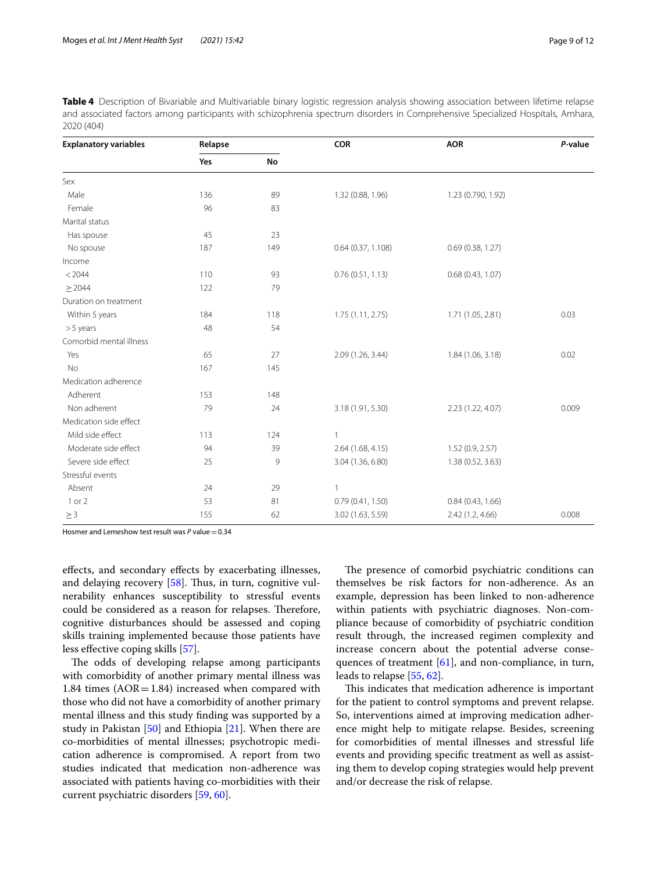<span id="page-8-0"></span>

| Table 4 Description of Bivariable and Multivariable binary logistic regression analysis showing association between lifetime relapse |
|--------------------------------------------------------------------------------------------------------------------------------------|
| and associated factors among participants with schizophrenia spectrum disorders in Comprehensive Specialized Hospitals, Amhara,      |
| 2020 (404)                                                                                                                           |

| <b>Explanatory variables</b> | Relapse |     | <b>COR</b>        | <b>AOR</b>         | P-value |
|------------------------------|---------|-----|-------------------|--------------------|---------|
|                              | Yes     | No  |                   |                    |         |
| Sex                          |         |     |                   |                    |         |
| Male                         | 136     | 89  | 1.32 (0.88, 1.96) | 1.23 (0.790, 1.92) |         |
| Female                       | 96      | 83  |                   |                    |         |
| Marital status               |         |     |                   |                    |         |
| Has spouse                   | 45      | 23  |                   |                    |         |
| No spouse                    | 187     | 149 | 0.64(0.37, 1.108) | 0.69(0.38, 1.27)   |         |
| Income                       |         |     |                   |                    |         |
| < 2044                       | 110     | 93  | 0.76(0.51, 1.13)  | 0.68(0.43, 1.07)   |         |
| > 2044                       | 122     | 79  |                   |                    |         |
| Duration on treatment        |         |     |                   |                    |         |
| Within 5 years               | 184     | 118 | 1.75(1.11, 2.75)  | 1.71 (1.05, 2.81)  | 0.03    |
| $> 5$ years                  | 48      | 54  |                   |                    |         |
| Comorbid mental illness      |         |     |                   |                    |         |
| Yes                          | 65      | 27  | 2.09 (1.26, 3.44) | 1.84 (1.06, 3.18)  | 0.02    |
| <b>No</b>                    | 167     | 145 |                   |                    |         |
| Medication adherence         |         |     |                   |                    |         |
| Adherent                     | 153     | 148 |                   |                    |         |
| Non adherent                 | 79      | 24  | 3.18 (1.91, 5.30) | 2.23 (1.22, 4.07)  | 0.009   |
| Medication side effect       |         |     |                   |                    |         |
| Mild side effect             | 113     | 124 | $\overline{1}$    |                    |         |
| Moderate side effect         | 94      | 39  | 2.64 (1.68, 4.15) | 1.52(0.9, 2.57)    |         |
| Severe side effect           | 25      | 9   | 3.04 (1.36, 6.80) | 1.38 (0.52, 3.63)  |         |
| Stressful events             |         |     |                   |                    |         |
| Absent                       | 24      | 29  | $\overline{1}$    |                    |         |
| 1 or 2                       | 53      | 81  | 0.79(0.41, 1.50)  | 0.84(0.43, 1.66)   |         |
| $\geq$ 3                     | 155     | 62  | 3.02 (1.63, 5.59) | 2.42 (1.2, 4.66)   | 0.008   |

Hosmer and Lemeshow test result was *P* value=0.34

efects, and secondary efects by exacerbating illnesses, and delaying recovery  $[58]$  $[58]$ . Thus, in turn, cognitive vulnerability enhances susceptibility to stressful events could be considered as a reason for relapses. Therefore, cognitive disturbances should be assessed and coping skills training implemented because those patients have less efective coping skills [[57\]](#page-11-22).

The odds of developing relapse among participants with comorbidity of another primary mental illness was 1.84 times  $(AOR = 1.84)$  increased when compared with those who did not have a comorbidity of another primary mental illness and this study fnding was supported by a study in Pakistan  $[50]$  $[50]$  and Ethiopia  $[21]$  $[21]$  $[21]$ . When there are co-morbidities of mental illnesses; psychotropic medication adherence is compromised. A report from two studies indicated that medication non-adherence was associated with patients having co-morbidities with their current psychiatric disorders [[59,](#page-11-24) [60](#page-11-25)].

The presence of comorbid psychiatric conditions can themselves be risk factors for non-adherence. As an example, depression has been linked to non-adherence within patients with psychiatric diagnoses. Non-compliance because of comorbidity of psychiatric condition result through, the increased regimen complexity and increase concern about the potential adverse consequences of treatment [[61\]](#page-11-26), and non-compliance, in turn, leads to relapse [[55](#page-11-20), [62\]](#page-11-27).

This indicates that medication adherence is important for the patient to control symptoms and prevent relapse. So, interventions aimed at improving medication adherence might help to mitigate relapse. Besides, screening for comorbidities of mental illnesses and stressful life events and providing specifc treatment as well as assisting them to develop coping strategies would help prevent and/or decrease the risk of relapse.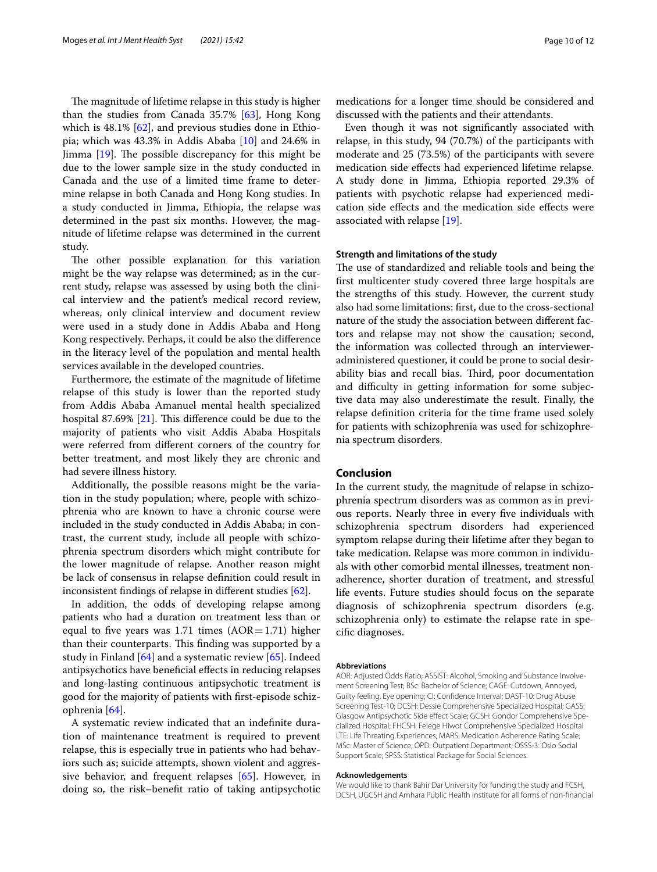The magnitude of lifetime relapse in this study is higher than the studies from Canada  $35.7\%$  [[63\]](#page-11-28), Hong Kong which is 48.1% [\[62\]](#page-11-27), and previous studies done in Ethiopia; which was 43.3% in Addis Ababa [\[10](#page-10-7)] and 24.6% in Jimma  $[19]$  $[19]$ . The possible discrepancy for this might be due to the lower sample size in the study conducted in Canada and the use of a limited time frame to determine relapse in both Canada and Hong Kong studies. In a study conducted in Jimma, Ethiopia, the relapse was determined in the past six months. However, the magnitude of lifetime relapse was determined in the current study.

The other possible explanation for this variation might be the way relapse was determined; as in the current study, relapse was assessed by using both the clinical interview and the patient's medical record review, whereas, only clinical interview and document review were used in a study done in Addis Ababa and Hong Kong respectively. Perhaps, it could be also the diference in the literacy level of the population and mental health services available in the developed countries.

Furthermore, the estimate of the magnitude of lifetime relapse of this study is lower than the reported study from Addis Ababa Amanuel mental health specialized hospital 87.69%  $[21]$  $[21]$ . This difference could be due to the majority of patients who visit Addis Ababa Hospitals were referred from diferent corners of the country for better treatment, and most likely they are chronic and had severe illness history.

Additionally, the possible reasons might be the variation in the study population; where, people with schizophrenia who are known to have a chronic course were included in the study conducted in Addis Ababa; in contrast, the current study, include all people with schizophrenia spectrum disorders which might contribute for the lower magnitude of relapse. Another reason might be lack of consensus in relapse defnition could result in inconsistent fndings of relapse in diferent studies [[62](#page-11-27)].

In addition, the odds of developing relapse among patients who had a duration on treatment less than or equal to five years was 1.71 times  $(AOR=1.71)$  higher than their counterparts. This finding was supported by a study in Finland [[64](#page-11-29)] and a systematic review [[65](#page-11-30)]. Indeed antipsychotics have benefcial efects in reducing relapses and long-lasting continuous antipsychotic treatment is good for the majority of patients with frst-episode schizophrenia [[64\]](#page-11-29).

A systematic review indicated that an indefnite duration of maintenance treatment is required to prevent relapse, this is especially true in patients who had behaviors such as; suicide attempts, shown violent and aggressive behavior, and frequent relapses [\[65\]](#page-11-30). However, in doing so, the risk–beneft ratio of taking antipsychotic

medications for a longer time should be considered and discussed with the patients and their attendants.

Even though it was not signifcantly associated with relapse, in this study, 94 (70.7%) of the participants with moderate and 25 (73.5%) of the participants with severe medication side efects had experienced lifetime relapse. A study done in Jimma, Ethiopia reported 29.3% of patients with psychotic relapse had experienced medication side efects and the medication side efects were associated with relapse [[19\]](#page-10-15).

## **Strength and limitations of the study**

The use of standardized and reliable tools and being the frst multicenter study covered three large hospitals are the strengths of this study. However, the current study also had some limitations: frst, due to the cross-sectional nature of the study the association between diferent factors and relapse may not show the causation; second, the information was collected through an intervieweradministered questioner, it could be prone to social desirability bias and recall bias. Third, poor documentation and difficulty in getting information for some subjective data may also underestimate the result. Finally, the relapse defnition criteria for the time frame used solely for patients with schizophrenia was used for schizophrenia spectrum disorders.

## **Conclusion**

In the current study, the magnitude of relapse in schizophrenia spectrum disorders was as common as in previous reports. Nearly three in every fve individuals with schizophrenia spectrum disorders had experienced symptom relapse during their lifetime after they began to take medication. Relapse was more common in individuals with other comorbid mental illnesses, treatment nonadherence, shorter duration of treatment, and stressful life events. Future studies should focus on the separate diagnosis of schizophrenia spectrum disorders (e.g. schizophrenia only) to estimate the relapse rate in specifc diagnoses.

### **Abbreviations**

AOR: Adjusted Odds Ratio; ASSIST: Alcohol, Smoking and Substance Involvement Screening Test; BSc: Bachelor of Science; CAGE: Cutdown, Annoyed, Guilty feeling, Eye opening; CI: Confdence Interval; DAST-10: Drug Abuse Screening Test-10; DCSH: Dessie Comprehensive Specialized Hospital; GASS: Glasgow Antipsychotic Side efect Scale; GCSH: Gondor Comprehensive Specialized Hospital; FHCSH: Felege Hiwot Comprehensive Specialized Hospital LTE: Life Threating Experiences; MARS: Medication Adherence Rating Scale; MSc: Master of Science; OPD: Outpatient Department; OSSS-3: Oslo Social Support Scale; SPSS: Statistical Package for Social Sciences.

#### **Acknowledgements**

We would like to thank Bahir Dar University for funding the study and FCSH, DCSH, UGCSH and Amhara Public Health Institute for all forms of non-fnancial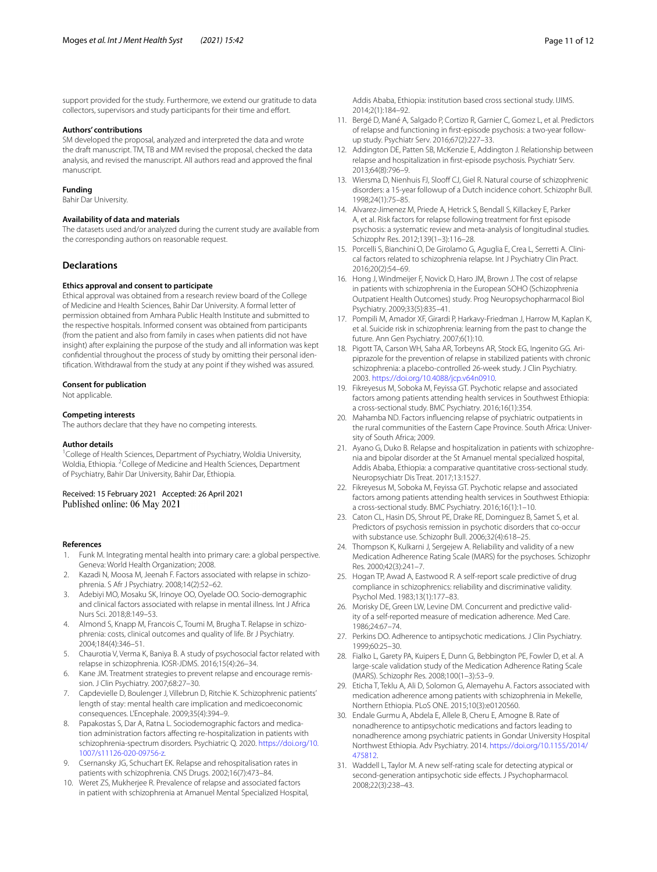support provided for the study. Furthermore, we extend our gratitude to data collectors, supervisors and study participants for their time and effort.

### **Authors' contributions**

SM developed the proposal, analyzed and interpreted the data and wrote the draft manuscript. TM, TB and MM revised the proposal, checked the data analysis, and revised the manuscript. All authors read and approved the fnal manuscript.

#### **Funding**

Bahir Dar University.

#### **Availability of data and materials**

The datasets used and/or analyzed during the current study are available from the corresponding authors on reasonable request.

## **Declarations**

#### **Ethics approval and consent to participate**

Ethical approval was obtained from a research review board of the College of Medicine and Health Sciences, Bahir Dar University. A formal letter of permission obtained from Amhara Public Health Institute and submitted to the respective hospitals. Informed consent was obtained from participants (from the patient and also from family in cases when patients did not have insight) after explaining the purpose of the study and all information was kept confdential throughout the process of study by omitting their personal identifcation. Withdrawal from the study at any point if they wished was assured.

#### **Consent for publication**

Not applicable.

#### **Competing interests**

The authors declare that they have no competing interests.

#### **Author details**

<sup>1</sup> College of Health Sciences, Department of Psychiatry, Woldia University, Woldia, Ethiopia. <sup>2</sup> College of Medicine and Health Sciences, Department of Psychiatry, Bahir Dar University, Bahir Dar, Ethiopia.

Received: 15 February 2021 Accepted: 26 April 2021 Published online: 06 May 2021

#### **References**

- <span id="page-10-0"></span>1. Funk M. Integrating mental health into primary care: a global perspective. Geneva: World Health Organization; 2008.
- <span id="page-10-20"></span>2. Kazadi N, Moosa M, Jeenah F. Factors associated with relapse in schizophrenia. S Afr J Psychiatry. 2008;14(2):52–62.
- 3. Adebiyi MO, Mosaku SK, Irinoye OO, Oyelade OO. Socio-demographic and clinical factors associated with relapse in mental illness. Int J Africa Nurs Sci. 2018;8:149–53.
- <span id="page-10-1"></span>4. Almond S, Knapp M, Francois C, Toumi M, Brugha T. Relapse in schizophrenia: costs, clinical outcomes and quality of life. Br J Psychiatry. 2004;184(4):346–51.
- <span id="page-10-2"></span>5. Chaurotia V, Verma K, Baniya B. A study of psychosocial factor related with relapse in schizophrenia. IOSR-JDMS. 2016;15(4):26–34.
- <span id="page-10-3"></span>6. Kane JM. Treatment strategies to prevent relapse and encourage remission. J Clin Psychiatry. 2007;68:27–30.
- <span id="page-10-4"></span>7. Capdevielle D, Boulenger J, Villebrun D, Ritchie K. Schizophrenic patients' length of stay: mental health care implication and medicoeconomic consequences. L'Encephale. 2009;35(4):394–9.
- <span id="page-10-5"></span>8. Papakostas S, Dar A, Ratna L. Sociodemographic factors and medication administration factors afecting re-hospitalization in patients with schizophrenia-spectrum disorders. Psychiatric Q. 2020. [https://doi.org/10.](https://doi.org/10.1007/s11126-020-09756-z) [1007/s11126-020-09756-z](https://doi.org/10.1007/s11126-020-09756-z).
- <span id="page-10-6"></span>9. Csernansky JG, Schuchart EK. Relapse and rehospitalisation rates in patients with schizophrenia. CNS Drugs. 2002;16(7):473–84.
- <span id="page-10-7"></span>10. Weret ZS, Mukherjee R. Prevalence of relapse and associated factors in patient with schizophrenia at Amanuel Mental Specialized Hospital,
- <span id="page-10-8"></span>11. Bergé D, Mané A, Salgado P, Cortizo R, Garnier C, Gomez L, et al. Predictors of relapse and functioning in frst-episode psychosis: a two-year followup study. Psychiatr Serv. 2016;67(2):227–33.
- <span id="page-10-9"></span>12. Addington DE, Patten SB, McKenzie E, Addington J. Relationship between relapse and hospitalization in frst-episode psychosis. Psychiatr Serv. 2013;64(8):796–9.
- <span id="page-10-10"></span>13. Wiersma D, Nienhuis FJ, Slooff CJ, Giel R. Natural course of schizophrenic disorders: a 15-year followup of a Dutch incidence cohort. Schizophr Bull. 1998;24(1):75–85.
- <span id="page-10-11"></span>14. Alvarez-Jimenez M, Priede A, Hetrick S, Bendall S, Killackey E, Parker A, et al. Risk factors for relapse following treatment for frst episode psychosis: a systematic review and meta-analysis of longitudinal studies. Schizophr Res. 2012;139(1–3):116–28.
- <span id="page-10-12"></span>15. Porcelli S, Bianchini O, De Girolamo G, Aguglia E, Crea L, Serretti A. Clinical factors related to schizophrenia relapse. Int J Psychiatry Clin Pract. 2016;20(2):54–69.
- <span id="page-10-13"></span>16. Hong J, Windmeijer F, Novick D, Haro JM, Brown J. The cost of relapse in patients with schizophrenia in the European SOHO (Schizophrenia Outpatient Health Outcomes) study. Prog Neuropsychopharmacol Biol Psychiatry. 2009;33(5):835–41.
- 17. Pompili M, Amador XF, Girardi P, Harkavy-Friedman J, Harrow M, Kaplan K, et al. Suicide risk in schizophrenia: learning from the past to change the future. Ann Gen Psychiatry. 2007;6(1):10.
- <span id="page-10-14"></span>18. Pigott TA, Carson WH, Saha AR, Torbeyns AR, Stock EG, Ingenito GG. Aripiprazole for the prevention of relapse in stabilized patients with chronic schizophrenia: a placebo-controlled 26-week study. J Clin Psychiatry. 2003. [https://doi.org/10.4088/jcp.v64n0910.](https://doi.org/10.4088/jcp.v64n0910)
- <span id="page-10-15"></span>19. Fikreyesus M, Soboka M, Feyissa GT. Psychotic relapse and associated factors among patients attending health services in Southwest Ethiopia: a cross-sectional study. BMC Psychiatry. 2016;16(1):354.
- <span id="page-10-16"></span>20. Mahamba ND. Factors infuencing relapse of psychiatric outpatients in the rural communities of the Eastern Cape Province. South Africa: University of South Africa; 2009.
- <span id="page-10-17"></span>21. Ayano G, Duko B. Relapse and hospitalization in patients with schizophrenia and bipolar disorder at the St Amanuel mental specialized hospital, Addis Ababa, Ethiopia: a comparative quantitative cross-sectional study. Neuropsychiatr Dis Treat. 2017;13:1527.
- <span id="page-10-18"></span>22. Fikreyesus M, Soboka M, Feyissa GT. Psychotic relapse and associated factors among patients attending health services in Southwest Ethiopia: a cross-sectional study. BMC Psychiatry. 2016;16(1):1–10.
- <span id="page-10-19"></span>23. Caton CL, Hasin DS, Shrout PE, Drake RE, Dominguez B, Samet S, et al. Predictors of psychosis remission in psychotic disorders that co-occur with substance use. Schizophr Bull. 2006;32(4):618–25.
- <span id="page-10-21"></span>24. Thompson K, Kulkarni J, Sergejew A. Reliability and validity of a new Medication Adherence Rating Scale (MARS) for the psychoses. Schizophr Res. 2000;42(3):241–7.
- <span id="page-10-22"></span>25. Hogan TP, Awad A, Eastwood R. A self-report scale predictive of drug compliance in schizophrenics: reliability and discriminative validity. Psychol Med. 1983;13(1):177–83.
- <span id="page-10-23"></span>26. Morisky DE, Green LW, Levine DM. Concurrent and predictive validity of a self-reported measure of medication adherence. Med Care. 1986;24:67–74.
- <span id="page-10-24"></span>27. Perkins DO. Adherence to antipsychotic medications. J Clin Psychiatry. 1999;60:25–30.
- <span id="page-10-25"></span>28. Fialko L, Garety PA, Kuipers E, Dunn G, Bebbington PE, Fowler D, et al. A large-scale validation study of the Medication Adherence Rating Scale (MARS). Schizophr Res. 2008;100(1–3):53–9.
- <span id="page-10-26"></span>29. Eticha T, Teklu A, Ali D, Solomon G, Alemayehu A. Factors associated with medication adherence among patients with schizophrenia in Mekelle, Northern Ethiopia. PLoS ONE. 2015;10(3):e0120560.
- <span id="page-10-27"></span>30. Endale Gurmu A, Abdela E, Allele B, Cheru E, Amogne B. Rate of nonadherence to antipsychotic medications and factors leading to nonadherence among psychiatric patients in Gondar University Hospital Northwest Ethiopia. Adv Psychiatry. 2014. [https://doi.org/10.1155/2014/](https://doi.org/10.1155/2014/475812) [475812.](https://doi.org/10.1155/2014/475812)
- <span id="page-10-28"></span>31. Waddell L, Taylor M. A new self-rating scale for detecting atypical or second-generation antipsychotic side effects. J Psychopharmacol. 2008;22(3):238–43.